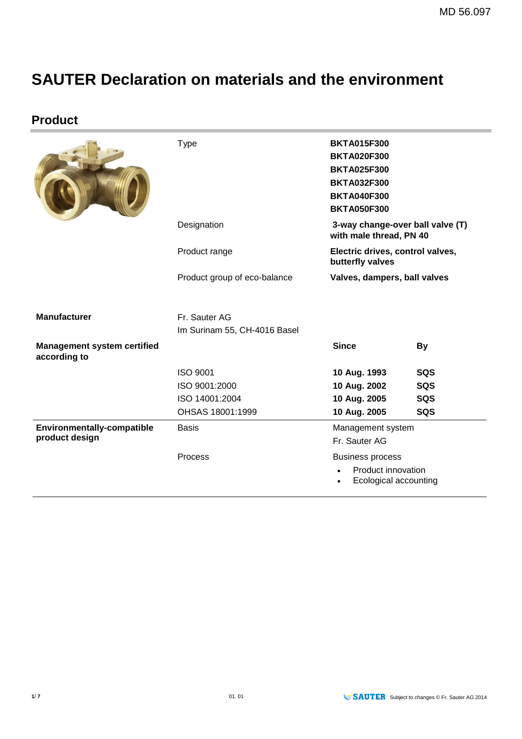# **SAUTER Declaration on materials and the environment**

**Product**

|                                                    | <b>Type</b>                  | <b>BKTA015F300</b><br><b>BKTA020F300</b><br><b>BKTA025F300</b><br><b>BKTA032F300</b><br><b>BKTA040F300</b><br><b>BKTA050F300</b> |     |
|----------------------------------------------------|------------------------------|----------------------------------------------------------------------------------------------------------------------------------|-----|
|                                                    | Designation                  | 3-way change-over ball valve (T)<br>with male thread, PN 40                                                                      |     |
|                                                    | Product range                | Electric drives, control valves,<br>butterfly valves                                                                             |     |
|                                                    | Product group of eco-balance | Valves, dampers, ball valves                                                                                                     |     |
|                                                    |                              |                                                                                                                                  |     |
| <b>Manufacturer</b>                                | Fr. Sauter AG                |                                                                                                                                  |     |
|                                                    | Im Surinam 55, CH-4016 Basel |                                                                                                                                  |     |
| <b>Management system certified</b><br>according to |                              | <b>Since</b>                                                                                                                     | By  |
|                                                    | <b>ISO 9001</b>              | 10 Aug. 1993                                                                                                                     | SQS |
|                                                    | ISO 9001:2000                | 10 Aug. 2002                                                                                                                     | SQS |
|                                                    | ISO 14001:2004               | 10 Aug. 2005                                                                                                                     | SQS |
|                                                    | OHSAS 18001:1999             | 10 Aug. 2005                                                                                                                     | SQS |
| Environmentally-compatible<br>product design       | <b>Basis</b>                 | Management system<br>Fr. Sauter AG                                                                                               |     |
|                                                    | Process                      | <b>Business process</b><br>Product innovation<br>Ecological accounting                                                           |     |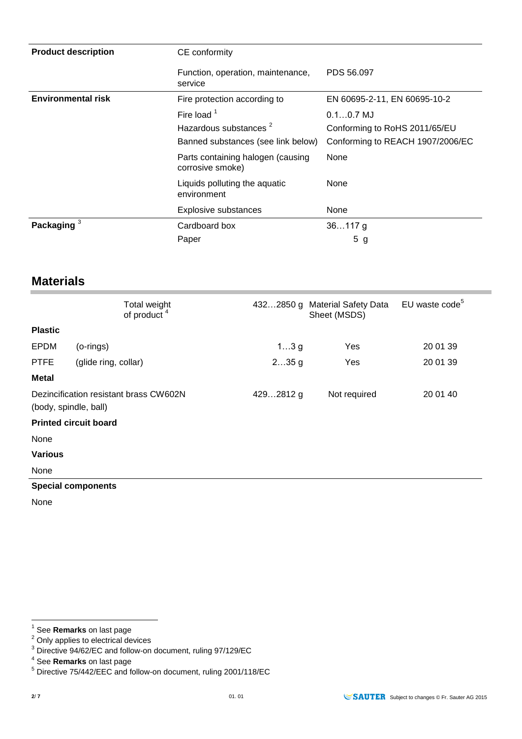| <b>Product description</b> | CE conformity                                                                            |                                                                                  |  |
|----------------------------|------------------------------------------------------------------------------------------|----------------------------------------------------------------------------------|--|
|                            | Function, operation, maintenance,<br>service                                             | PDS 56,097                                                                       |  |
| <b>Environmental risk</b>  | Fire protection according to                                                             | EN 60695-2-11, EN 60695-10-2                                                     |  |
|                            | Fire load $1$<br>Hazardous substances <sup>2</sup><br>Banned substances (see link below) | $0.10.7$ MJ<br>Conforming to RoHS 2011/65/EU<br>Conforming to REACH 1907/2006/EC |  |
|                            | Parts containing halogen (causing<br>corrosive smoke)                                    | None                                                                             |  |
|                            | Liquids polluting the aquatic<br>environment                                             | None                                                                             |  |
|                            | <b>Explosive substances</b>                                                              | None                                                                             |  |
| Packaging $3$              | Cardboard box                                                                            | $36117$ g                                                                        |  |
|                            | Paper                                                                                    | 5<br>g                                                                           |  |

## **Materials**

|                                                                 | Total weight<br>of product <sup>4</sup> |           | 4322850 g Material Safety Data<br>Sheet (MSDS) | EU waste code <sup>5</sup> |
|-----------------------------------------------------------------|-----------------------------------------|-----------|------------------------------------------------|----------------------------|
| <b>Plastic</b>                                                  |                                         |           |                                                |                            |
| <b>EPDM</b>                                                     | (o-rings)                               | $13$ g    | Yes                                            | 20 01 39                   |
| <b>PTFE</b>                                                     | (glide ring, collar)                    | $235$ g   | Yes                                            | 20 01 39                   |
| <b>Metal</b>                                                    |                                         |           |                                                |                            |
| Dezincification resistant brass CW602N<br>(body, spindle, ball) |                                         | 4292812 g | Not required                                   | 20 01 40                   |
|                                                                 | <b>Printed circuit board</b>            |           |                                                |                            |
| None                                                            |                                         |           |                                                |                            |
| <b>Various</b>                                                  |                                         |           |                                                |                            |
| None                                                            |                                         |           |                                                |                            |
|                                                                 | <b>Special components</b>               |           |                                                |                            |

None

 1 See **Remarks** on last page

 $2$  Only applies to electrical devices

 $3$  Directive 94/62/EC and follow-on document, ruling 97/129/EC

<sup>4</sup> See **Remarks** on last page

<sup>5</sup> Directive 75/442/EEC and follow-on document, ruling 2001/118/EC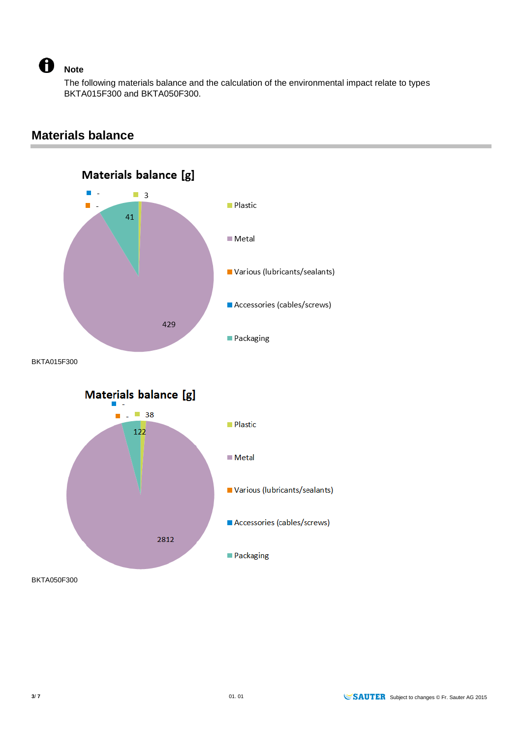A

#### **Note**

The following materials balance and the calculation of the environmental impact relate to types BKTA015F300 and BKTA050F300.



**Materials balance**

BKTA050F300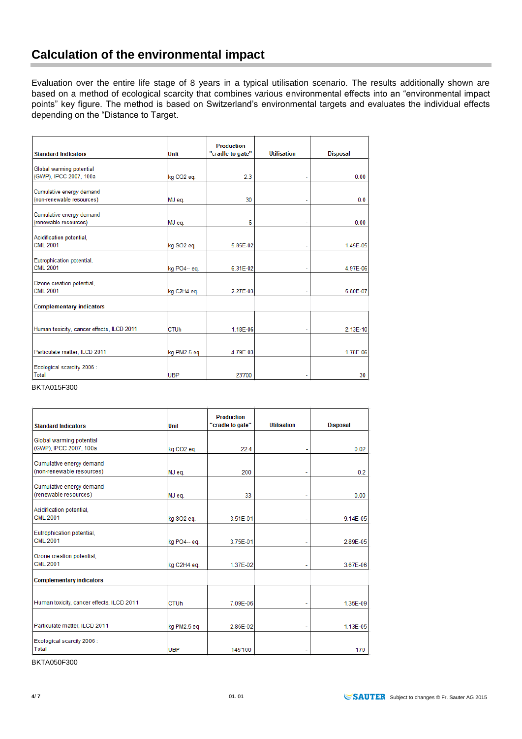Evaluation over the entire life stage of 8 years in a typical utilisation scenario. The results additionally shown are based on a method of ecological scarcity that combines various environmental effects into an "environmental impact points" key figure. The method is based on Switzerland's environmental targets and evaluates the individual effects depending on the "Distance to Target.

|                                                    |             | <b>Production</b> |                    |                 |
|----------------------------------------------------|-------------|-------------------|--------------------|-----------------|
| <b>Standard Indicators</b>                         | <b>Unit</b> | "cradle to gate"  | <b>Utilisation</b> | <b>Disposal</b> |
|                                                    |             |                   |                    |                 |
| Global warming potential<br>(GWP), IPCC 2007, 100a |             |                   |                    |                 |
|                                                    | kg CO2 eq.  | 2.3               |                    | 0.00            |
| Cumulative energy demand                           |             |                   |                    |                 |
| (non-renewable resources)                          | MJ eq.      | 30                |                    | 0.0             |
|                                                    |             |                   |                    |                 |
| Cumulative energy demand                           |             |                   |                    |                 |
| (renewable resources)                              | MJ eq.      | 6                 |                    | 0.00            |
| Acidification potential,                           |             |                   |                    |                 |
| <b>CML 2001</b>                                    | kg SO2 eq.  | 5.85E-02          |                    | 1.45E-05        |
|                                                    |             |                   |                    |                 |
| Eutrophication potential,                          |             |                   |                    |                 |
| <b>CML 2001</b>                                    | kg PO4- eg. | 6.31E-02          |                    | 4.97E-06        |
|                                                    |             |                   |                    |                 |
| Ozone creation potential,                          |             |                   |                    |                 |
| CML 2001                                           | kg C2H4 eq. | 2.27E-03          |                    | 5.80E-07        |
| <b>Complementary indicators</b>                    |             |                   |                    |                 |
|                                                    |             |                   |                    |                 |
|                                                    |             |                   |                    |                 |
| Human toxicity, cancer effects, ILCD 2011          | <b>CTUh</b> | 1.18E-06          |                    | 2.13E-10        |
|                                                    |             |                   |                    |                 |
| Particulate matter, ILCD 2011                      | kg PM2.5 eq | 4.79E-03          |                    | 1.78E-06        |
|                                                    |             |                   |                    |                 |
| Ecological scarcity 2006 :                         |             |                   |                    |                 |
| Total                                              | <b>UBP</b>  | 23'700            |                    | 30              |

BKTA015F300

| <b>Standard Indicators</b>                | <b>Unit</b>            | <b>Production</b><br>"cradle to gate" | <b>Utilisation</b> | <b>Disposal</b> |
|-------------------------------------------|------------------------|---------------------------------------|--------------------|-----------------|
| Global warming potential                  |                        |                                       |                    |                 |
| (GWP), IPCC 2007, 100a                    | kg CO <sub>2</sub> eg. | 22.4                                  |                    | 0.02            |
| Cumulative energy demand                  |                        |                                       |                    |                 |
| (non-renewable resources)                 | MJ eq.                 | 200                                   |                    | 0.2             |
| Cumulative energy demand                  |                        |                                       |                    |                 |
| (renewable resources)                     | MJ eq.                 | 33                                    |                    | 0.00            |
| Acidification potential,                  |                        |                                       |                    |                 |
| <b>CML 2001</b>                           | kg SO2 eg.             | 3.51E-01                              |                    | 9.14E-05        |
| Eutrophication potential,                 |                        |                                       |                    |                 |
| <b>CML 2001</b>                           | kg PO4-- eg.           | 3.75E-01                              |                    | 2.89E-05        |
| Ozone creation potential,                 |                        |                                       |                    |                 |
| <b>CML 2001</b>                           | kg C2H4 eg.            | 1.37E-02                              |                    | 3.67E-06        |
| <b>Complementary indicators</b>           |                        |                                       |                    |                 |
|                                           |                        |                                       |                    |                 |
| Human toxicity, cancer effects, ILCD 2011 | <b>CTUh</b>            | 7.09E-06                              |                    | 1.35E-09        |
|                                           |                        |                                       |                    |                 |
| Particulate matter, ILCD 2011             | kg PM2.5 eg            | 2.86E-02                              |                    | 1.13E-05        |
| Ecological scarcity 2006 :                |                        |                                       |                    |                 |
| Total                                     | <b>UBP</b>             | 145'100                               |                    | 170             |

BKTA050F300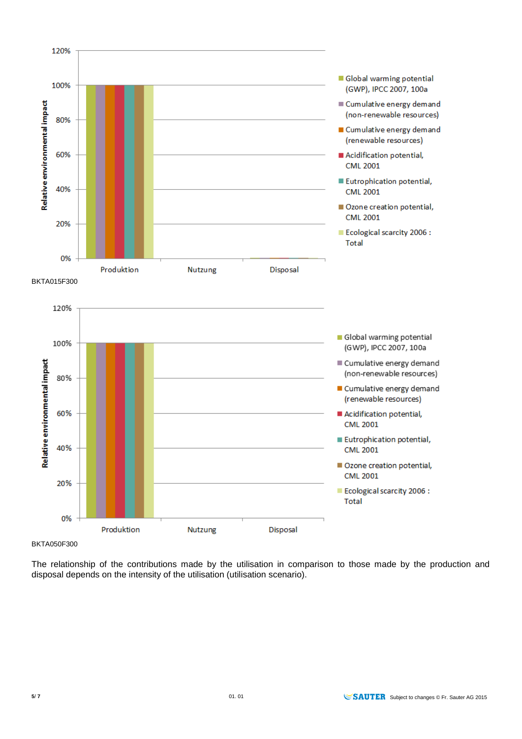

BKTA050F300

The relationship of the contributions made by the utilisation in comparison to those made by the production and disposal depends on the intensity of the utilisation (utilisation scenario).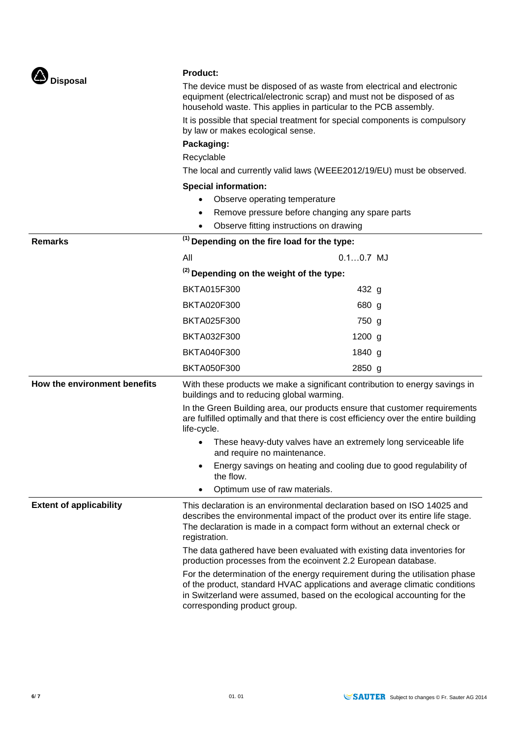| Disposal                       | The device must be disposed of as waste from electrical and electronic<br>equipment (electrical/electronic scrap) and must not be disposed of as<br>household waste. This applies in particular to the PCB assembly.<br>It is possible that special treatment for special components is compulsory<br>by law or makes ecological sense.                             |             |  |
|--------------------------------|---------------------------------------------------------------------------------------------------------------------------------------------------------------------------------------------------------------------------------------------------------------------------------------------------------------------------------------------------------------------|-------------|--|
|                                |                                                                                                                                                                                                                                                                                                                                                                     |             |  |
|                                | Packaging:                                                                                                                                                                                                                                                                                                                                                          |             |  |
|                                | Recyclable                                                                                                                                                                                                                                                                                                                                                          |             |  |
|                                | The local and currently valid laws (WEEE2012/19/EU) must be observed.                                                                                                                                                                                                                                                                                               |             |  |
|                                | <b>Special information:</b>                                                                                                                                                                                                                                                                                                                                         |             |  |
|                                | Observe operating temperature<br>$\bullet$<br>Remove pressure before changing any spare parts<br>٠                                                                                                                                                                                                                                                                  |             |  |
|                                |                                                                                                                                                                                                                                                                                                                                                                     |             |  |
| <b>Remarks</b>                 | Observe fitting instructions on drawing<br>$\bullet$<br><sup>(1)</sup> Depending on the fire load for the type:                                                                                                                                                                                                                                                     |             |  |
|                                | All                                                                                                                                                                                                                                                                                                                                                                 | $0.10.7$ MJ |  |
|                                |                                                                                                                                                                                                                                                                                                                                                                     |             |  |
|                                | <sup>(2)</sup> Depending on the weight of the type:                                                                                                                                                                                                                                                                                                                 |             |  |
|                                | <b>BKTA015F300</b>                                                                                                                                                                                                                                                                                                                                                  | 432 g       |  |
|                                | <b>BKTA020F300</b>                                                                                                                                                                                                                                                                                                                                                  | 680 g       |  |
|                                | <b>BKTA025F300</b>                                                                                                                                                                                                                                                                                                                                                  | 750 g       |  |
|                                | <b>BKTA032F300</b>                                                                                                                                                                                                                                                                                                                                                  | $1200$ g    |  |
|                                | <b>BKTA040F300</b>                                                                                                                                                                                                                                                                                                                                                  | 1840 g      |  |
|                                | <b>BKTA050F300</b>                                                                                                                                                                                                                                                                                                                                                  | 2850 g      |  |
| How the environment benefits   | With these products we make a significant contribution to energy savings in<br>buildings and to reducing global warming.                                                                                                                                                                                                                                            |             |  |
|                                | In the Green Building area, our products ensure that customer requirements<br>are fulfilled optimally and that there is cost efficiency over the entire building<br>life-cycle.<br>These heavy-duty valves have an extremely long serviceable life<br>and require no maintenance.<br>Energy savings on heating and cooling due to good regulability of<br>the flow. |             |  |
|                                |                                                                                                                                                                                                                                                                                                                                                                     |             |  |
|                                |                                                                                                                                                                                                                                                                                                                                                                     |             |  |
|                                | Optimum use of raw materials.                                                                                                                                                                                                                                                                                                                                       |             |  |
| <b>Extent of applicability</b> | This declaration is an environmental declaration based on ISO 14025 and<br>describes the environmental impact of the product over its entire life stage.<br>The declaration is made in a compact form without an external check or<br>registration.                                                                                                                 |             |  |
|                                | The data gathered have been evaluated with existing data inventories for<br>production processes from the ecoinvent 2.2 European database.                                                                                                                                                                                                                          |             |  |
|                                | For the determination of the energy requirement during the utilisation phase<br>of the product, standard HVAC applications and average climatic conditions<br>in Switzerland were assumed, based on the ecological accounting for the<br>corresponding product group.                                                                                               |             |  |